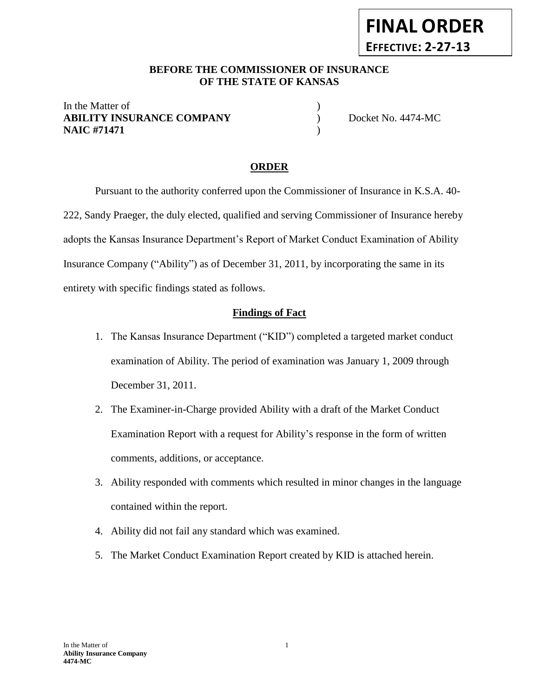#### **BEFORE THE COMMISSIONER OF INSURANCE** *-12***OF THE STATE OF KANSAS**

In the Matter of  $\hspace{1.5cm}$  ) **ABILITY INSURANCE COMPANY** Docket No. 4474-MC **NAIC #71471** )

**FINAL ORDER**

**EFFECTIVE: 2-27-13**

#### **ORDER**

Pursuant to the authority conferred upon the Commissioner of Insurance in K.S.A. 40- 222, Sandy Praeger, the duly elected, qualified and serving Commissioner of Insurance hereby adopts the Kansas Insurance Department's Report of Market Conduct Examination of Ability Insurance Company ("Ability") as of December 31, 2011, by incorporating the same in its entirety with specific findings stated as follows.

#### **Findings of Fact**

- 1. The Kansas Insurance Department ("KID") completed a targeted market conduct examination of Ability. The period of examination was January 1, 2009 through December 31, 2011.
- 2. The Examiner-in-Charge provided Ability with a draft of the Market Conduct Examination Report with a request for Ability's response in the form of written comments, additions, or acceptance.
- 3. Ability responded with comments which resulted in minor changes in the language contained within the report.
- 4. Ability did not fail any standard which was examined.
- 5. The Market Conduct Examination Report created by KID is attached herein.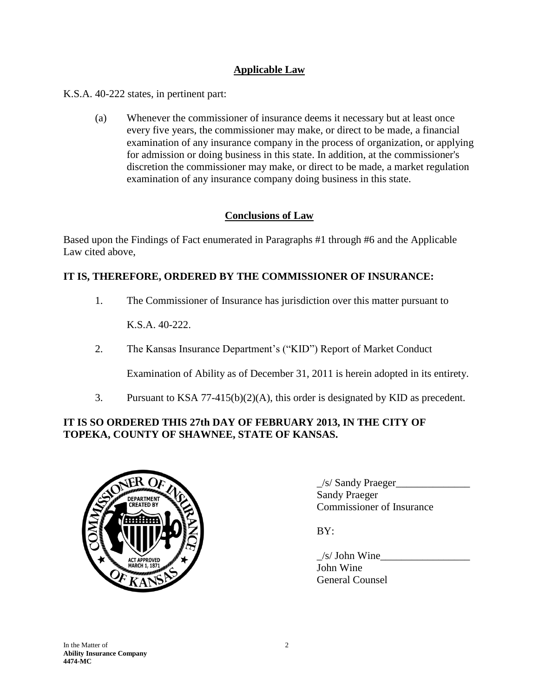## **Applicable Law**

K.S.A. 40-222 states, in pertinent part:

(a) Whenever the commissioner of insurance deems it necessary but at least once every five years, the commissioner may make, or direct to be made, a financial examination of any insurance company in the process of organization, or applying for admission or doing business in this state. In addition, at the commissioner's discretion the commissioner may make, or direct to be made, a market regulation examination of any insurance company doing business in this state.

## **Conclusions of Law**

Based upon the Findings of Fact enumerated in Paragraphs #1 through #6 and the Applicable Law cited above,

## **IT IS, THEREFORE, ORDERED BY THE COMMISSIONER OF INSURANCE:**

1. The Commissioner of Insurance has jurisdiction over this matter pursuant to

K.S.A. 40-222.

2. The Kansas Insurance Department's ("KID") Report of Market Conduct

Examination of Ability as of December 31, 2011 is herein adopted in its entirety.

3. Pursuant to KSA 77-415(b)(2)(A), this order is designated by KID as precedent.

## **IT IS SO ORDERED THIS 27th DAY OF FEBRUARY 2013, IN THE CITY OF TOPEKA, COUNTY OF SHAWNEE, STATE OF KANSAS.**



 $\angle$ s/ Sandy Praeger $\angle$ Sandy Praeger Commissioner of Insurance

BY:

 $/s$  John Wine John Wine General Counsel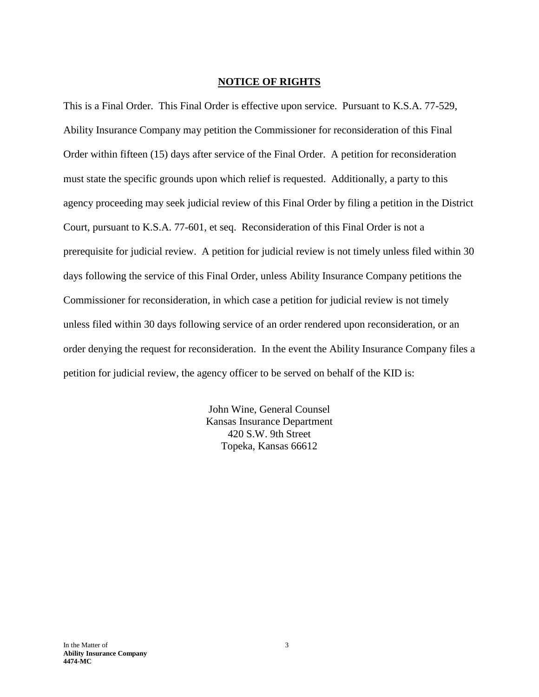#### **NOTICE OF RIGHTS**

This is a Final Order. This Final Order is effective upon service. Pursuant to K.S.A. 77-529, Ability Insurance Company may petition the Commissioner for reconsideration of this Final Order within fifteen (15) days after service of the Final Order. A petition for reconsideration must state the specific grounds upon which relief is requested. Additionally, a party to this agency proceeding may seek judicial review of this Final Order by filing a petition in the District Court, pursuant to K.S.A. 77-601, et seq. Reconsideration of this Final Order is not a prerequisite for judicial review. A petition for judicial review is not timely unless filed within 30 days following the service of this Final Order, unless Ability Insurance Company petitions the Commissioner for reconsideration, in which case a petition for judicial review is not timely unless filed within 30 days following service of an order rendered upon reconsideration, or an order denying the request for reconsideration. In the event the Ability Insurance Company files a petition for judicial review, the agency officer to be served on behalf of the KID is:

> John Wine, General Counsel Kansas Insurance Department 420 S.W. 9th Street Topeka, Kansas 66612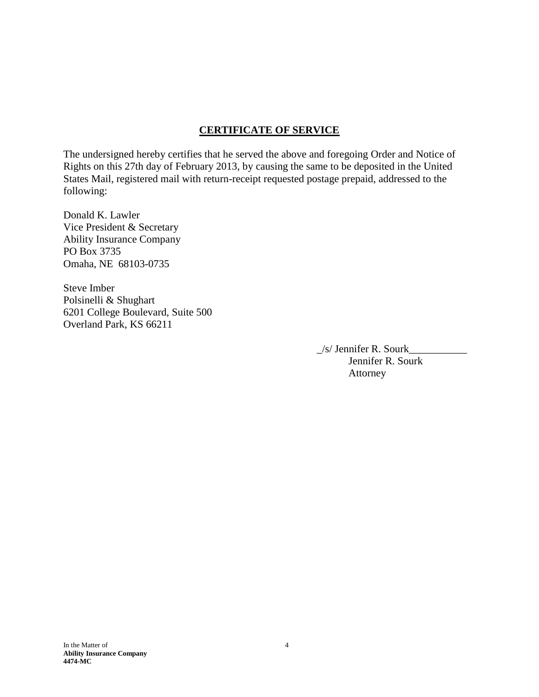## **CERTIFICATE OF SERVICE**

The undersigned hereby certifies that he served the above and foregoing Order and Notice of Rights on this 27th day of February 2013, by causing the same to be deposited in the United States Mail, registered mail with return-receipt requested postage prepaid, addressed to the following:

Donald K. Lawler Vice President & Secretary Ability Insurance Company PO Box 3735 Omaha, NE 68103-0735

Steve Imber Polsinelli & Shughart 6201 College Boulevard, Suite 500 Overland Park, KS 66211

> $\angle$ s/ Jennifer R. Sourk $\angle$ Jennifer R. Sourk Attorney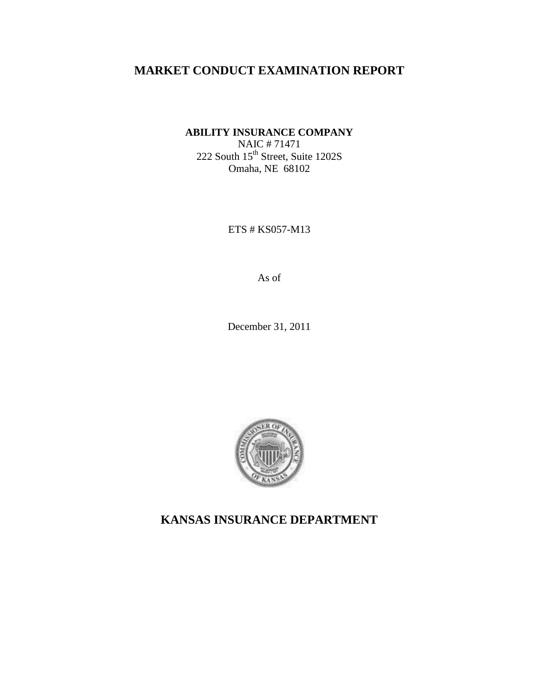# **MARKET CONDUCT EXAMINATION REPORT**

**ABILITY INSURANCE COMPANY**

NAIC # 71471  $222$  South  $15^{th}$  Street, Suite 1202S Omaha, NE 68102

ETS # KS057-M13

As of

December 31, 2011



**KANSAS INSURANCE DEPARTMENT**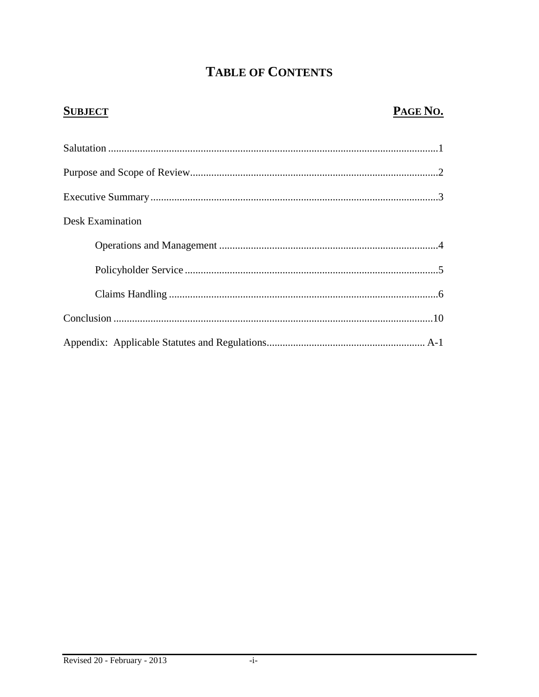# **TABLE OF CONTENTS**

# **SUBJECT**

# PAGE NO.

| <b>Desk Examination</b> |  |
|-------------------------|--|
|                         |  |
|                         |  |
|                         |  |
|                         |  |
|                         |  |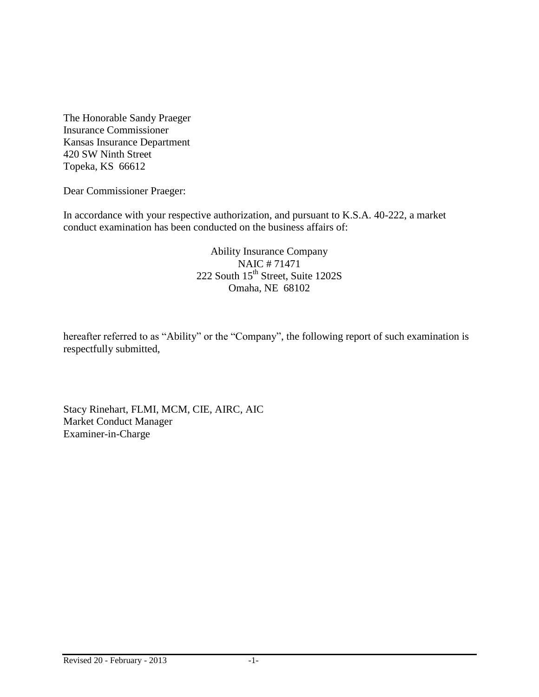The Honorable Sandy Praeger Insurance Commissioner Kansas Insurance Department 420 SW Ninth Street Topeka, KS 66612

Dear Commissioner Praeger:

In accordance with your respective authorization, and pursuant to K.S.A. 40-222, a market conduct examination has been conducted on the business affairs of:

> Ability Insurance Company NAIC # 71471 222 South 15<sup>th</sup> Street, Suite 1202S Omaha, NE 68102

hereafter referred to as "Ability" or the "Company", the following report of such examination is respectfully submitted,

Stacy Rinehart, FLMI, MCM, CIE, AIRC, AIC Market Conduct Manager Examiner-in-Charge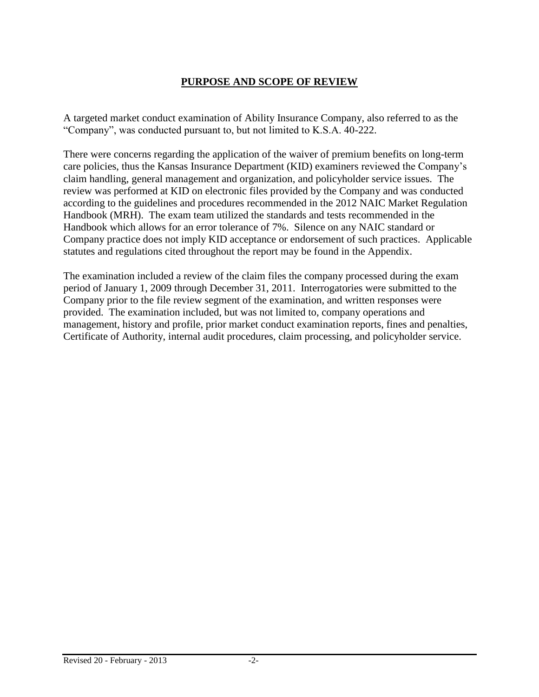# **PURPOSE AND SCOPE OF REVIEW**

A targeted market conduct examination of Ability Insurance Company, also referred to as the "Company", was conducted pursuant to, but not limited to K.S.A. 40-222.

There were concerns regarding the application of the waiver of premium benefits on long-term care policies, thus the Kansas Insurance Department (KID) examiners reviewed the Company's claim handling, general management and organization, and policyholder service issues. The review was performed at KID on electronic files provided by the Company and was conducted according to the guidelines and procedures recommended in the 2012 NAIC Market Regulation Handbook (MRH). The exam team utilized the standards and tests recommended in the Handbook which allows for an error tolerance of 7%. Silence on any NAIC standard or Company practice does not imply KID acceptance or endorsement of such practices. Applicable statutes and regulations cited throughout the report may be found in the Appendix.

The examination included a review of the claim files the company processed during the exam period of January 1, 2009 through December 31, 2011. Interrogatories were submitted to the Company prior to the file review segment of the examination, and written responses were provided. The examination included, but was not limited to, company operations and management, history and profile, prior market conduct examination reports, fines and penalties, Certificate of Authority, internal audit procedures, claim processing, and policyholder service.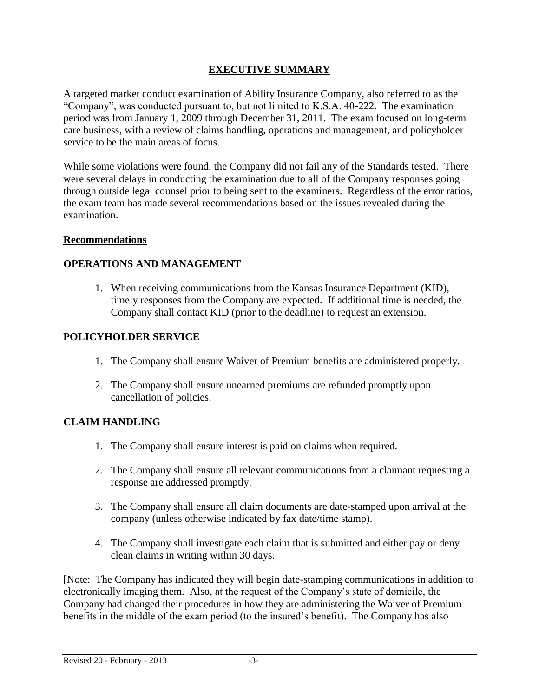# **EXECUTIVE SUMMARY**

A targeted market conduct examination of Ability Insurance Company, also referred to as the "Company", was conducted pursuant to, but not limited to K.S.A. 40-222. The examination period was from January 1, 2009 through December 31, 2011. The exam focused on long-term care business, with a review of claims handling, operations and management, and policyholder service to be the main areas of focus.

While some violations were found, the Company did not fail any of the Standards tested. There were several delays in conducting the examination due to all of the Company responses going through outside legal counsel prior to being sent to the examiners. Regardless of the error ratios, the exam team has made several recommendations based on the issues revealed during the examination.

## **Recommendations**

## **OPERATIONS AND MANAGEMENT**

1. When receiving communications from the Kansas Insurance Department (KID), timely responses from the Company are expected. If additional time is needed, the Company shall contact KID (prior to the deadline) to request an extension.

## **POLICYHOLDER SERVICE**

- 1. The Company shall ensure Waiver of Premium benefits are administered properly.
- 2. The Company shall ensure unearned premiums are refunded promptly upon cancellation of policies.

## **CLAIM HANDLING**

- 1. The Company shall ensure interest is paid on claims when required.
- 2. The Company shall ensure all relevant communications from a claimant requesting a response are addressed promptly.
- 3. The Company shall ensure all claim documents are date-stamped upon arrival at the company (unless otherwise indicated by fax date/time stamp).
- 4. The Company shall investigate each claim that is submitted and either pay or deny clean claims in writing within 30 days.

[Note: The Company has indicated they will begin date-stamping communications in addition to electronically imaging them. Also, at the request of the Company's state of domicile, the Company had changed their procedures in how they are administering the Waiver of Premium benefits in the middle of the exam period (to the insured's benefit). The Company has also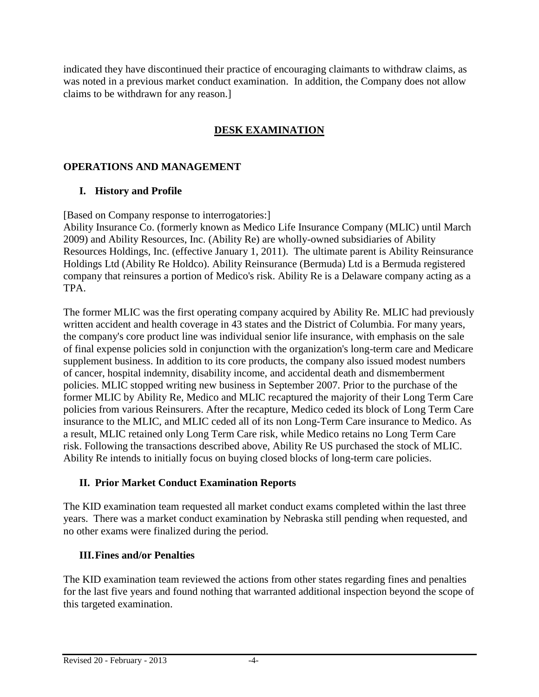indicated they have discontinued their practice of encouraging claimants to withdraw claims, as was noted in a previous market conduct examination. In addition, the Company does not allow claims to be withdrawn for any reason.]

# **DESK EXAMINATION**

# **OPERATIONS AND MANAGEMENT**

# **I. History and Profile**

[Based on Company response to interrogatories:]

Ability Insurance Co. (formerly known as Medico Life Insurance Company (MLIC) until March 2009) and Ability Resources, Inc. (Ability Re) are wholly-owned subsidiaries of Ability Resources Holdings, Inc. (effective January 1, 2011). The ultimate parent is Ability Reinsurance Holdings Ltd (Ability Re Holdco). Ability Reinsurance (Bermuda) Ltd is a Bermuda registered company that reinsures a portion of Medico's risk. Ability Re is a Delaware company acting as a TPA.

The former MLIC was the first operating company acquired by Ability Re. MLIC had previously written accident and health coverage in 43 states and the District of Columbia. For many years, the company's core product line was individual senior life insurance, with emphasis on the sale of final expense policies sold in conjunction with the organization's long-term care and Medicare supplement business. In addition to its core products, the company also issued modest numbers of cancer, hospital indemnity, disability income, and accidental death and dismemberment policies. MLIC stopped writing new business in September 2007. Prior to the purchase of the former MLIC by Ability Re, Medico and MLIC recaptured the majority of their Long Term Care policies from various Reinsurers. After the recapture, Medico ceded its block of Long Term Care insurance to the MLIC, and MLIC ceded all of its non Long-Term Care insurance to Medico. As a result, MLIC retained only Long Term Care risk, while Medico retains no Long Term Care risk. Following the transactions described above, Ability Re US purchased the stock of MLIC. Ability Re intends to initially focus on buying closed blocks of long-term care policies.

## **II. Prior Market Conduct Examination Reports**

The KID examination team requested all market conduct exams completed within the last three years. There was a market conduct examination by Nebraska still pending when requested, and no other exams were finalized during the period.

## **III.Fines and/or Penalties**

The KID examination team reviewed the actions from other states regarding fines and penalties for the last five years and found nothing that warranted additional inspection beyond the scope of this targeted examination.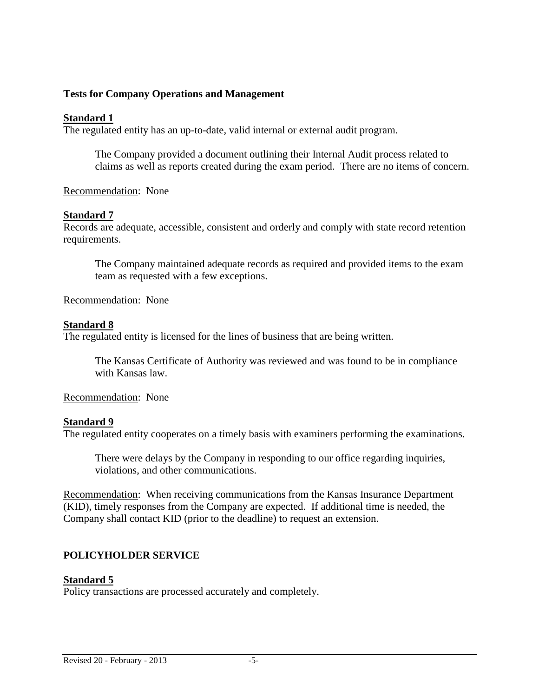#### **Tests for Company Operations and Management**

#### **Standard 1**

The regulated entity has an up-to-date, valid internal or external audit program.

The Company provided a document outlining their Internal Audit process related to claims as well as reports created during the exam period. There are no items of concern.

#### Recommendation: None

#### **Standard 7**

Records are adequate, accessible, consistent and orderly and comply with state record retention requirements.

The Company maintained adequate records as required and provided items to the exam team as requested with a few exceptions.

Recommendation: None

#### **Standard 8**

The regulated entity is licensed for the lines of business that are being written.

The Kansas Certificate of Authority was reviewed and was found to be in compliance with Kansas law.

Recommendation: None

#### **Standard 9**

The regulated entity cooperates on a timely basis with examiners performing the examinations.

There were delays by the Company in responding to our office regarding inquiries, violations, and other communications.

Recommendation: When receiving communications from the Kansas Insurance Department (KID), timely responses from the Company are expected. If additional time is needed, the Company shall contact KID (prior to the deadline) to request an extension.

#### **POLICYHOLDER SERVICE**

#### **Standard 5**

Policy transactions are processed accurately and completely.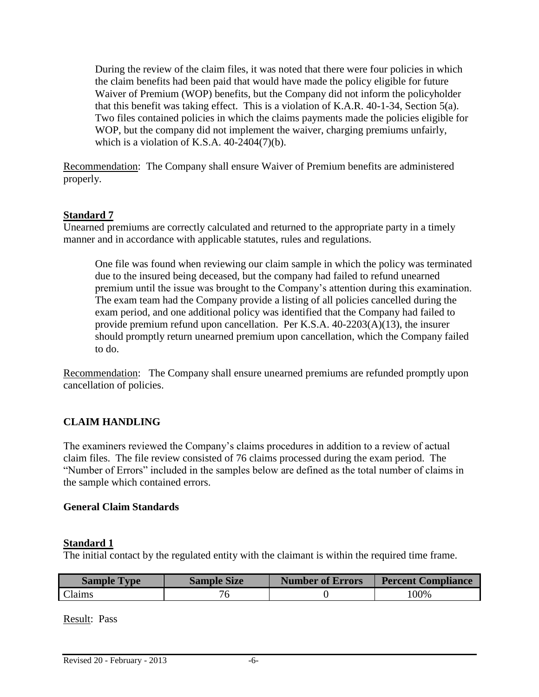During the review of the claim files, it was noted that there were four policies in which the claim benefits had been paid that would have made the policy eligible for future Waiver of Premium (WOP) benefits, but the Company did not inform the policyholder that this benefit was taking effect. This is a violation of K.A.R. 40-1-34, Section 5(a). Two files contained policies in which the claims payments made the policies eligible for WOP, but the company did not implement the waiver, charging premiums unfairly, which is a violation of K.S.A.  $40-2404(7)(b)$ .

Recommendation: The Company shall ensure Waiver of Premium benefits are administered properly.

## **Standard 7**

Unearned premiums are correctly calculated and returned to the appropriate party in a timely manner and in accordance with applicable statutes, rules and regulations.

One file was found when reviewing our claim sample in which the policy was terminated due to the insured being deceased, but the company had failed to refund unearned premium until the issue was brought to the Company's attention during this examination. The exam team had the Company provide a listing of all policies cancelled during the exam period, and one additional policy was identified that the Company had failed to provide premium refund upon cancellation. Per K.S.A. 40-2203(A)(13), the insurer should promptly return unearned premium upon cancellation, which the Company failed to do.

Recommendation: The Company shall ensure unearned premiums are refunded promptly upon cancellation of policies.

## **CLAIM HANDLING**

The examiners reviewed the Company's claims procedures in addition to a review of actual claim files. The file review consisted of 76 claims processed during the exam period. The "Number of Errors" included in the samples below are defined as the total number of claims in the sample which contained errors.

#### **General Claim Standards**

#### **Standard 1**

The initial contact by the regulated entity with the claimant is within the required time frame.

| <b>Sample Type</b> | <b>Sample Size</b> | <b>Number of Errors</b> | <b>Percent Compliance</b> |
|--------------------|--------------------|-------------------------|---------------------------|
| Claims             |                    |                         | 100%                      |

Result: Pass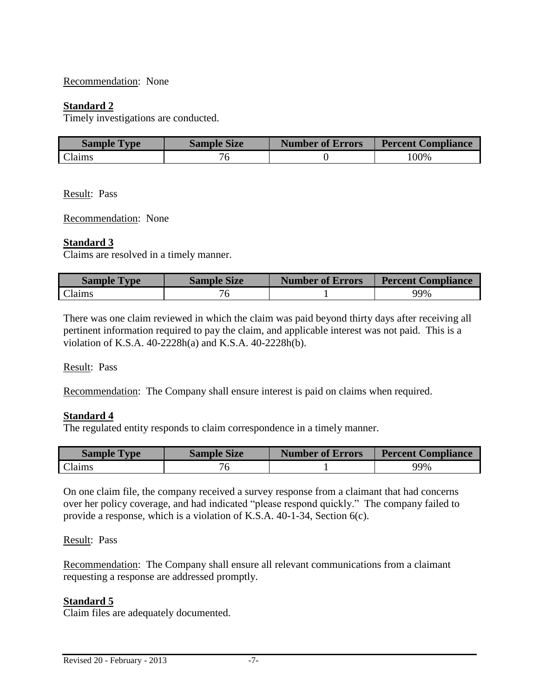#### Recommendation: None

#### **Standard 2**

Timely investigations are conducted.

| <b>Sample Type</b> | <b>Sample Size</b> | <b>Number of Errors</b> | <b>Percent Compliance</b> |
|--------------------|--------------------|-------------------------|---------------------------|
| <b>Claims</b>      |                    |                         | 100%                      |

Result: Pass

Recommendation: None

#### **Standard 3**

Claims are resolved in a timely manner.

| <b>Sample Type</b> | <b>Sample Size</b> | <b>Number of Errors</b> | <b>Percent Compliance</b> |
|--------------------|--------------------|-------------------------|---------------------------|
| Claims             |                    |                         | 99%                       |

There was one claim reviewed in which the claim was paid beyond thirty days after receiving all pertinent information required to pay the claim, and applicable interest was not paid. This is a violation of K.S.A. 40-2228h(a) and K.S.A. 40-2228h(b).

Result: Pass

Recommendation: The Company shall ensure interest is paid on claims when required.

#### **Standard 4**

The regulated entity responds to claim correspondence in a timely manner.

| <b>Sample Type</b> | <b>Sample Size</b> | <b>Number of Errors</b> | <b>Percent Compliance</b> |
|--------------------|--------------------|-------------------------|---------------------------|
| Claims             |                    |                         | 99%                       |

On one claim file, the company received a survey response from a claimant that had concerns over her policy coverage, and had indicated "please respond quickly." The company failed to provide a response, which is a violation of K.S.A. 40-1-34, Section 6(c).

#### Result: Pass

Recommendation: The Company shall ensure all relevant communications from a claimant requesting a response are addressed promptly.

#### **Standard 5**

Claim files are adequately documented.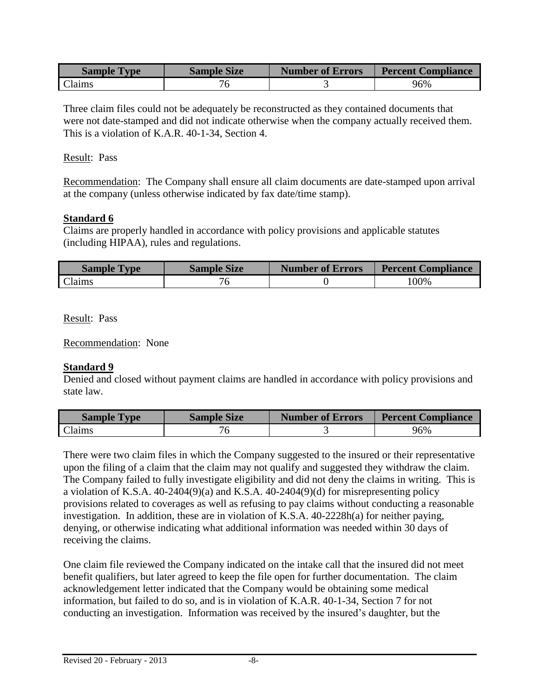| <b>Sample Type</b> | <b>Sample Size</b> | <b>Number of Errors</b> | <b>Percent Compliance</b> |
|--------------------|--------------------|-------------------------|---------------------------|
| <b>Claims</b>      |                    |                         | 96%                       |

Three claim files could not be adequately be reconstructed as they contained documents that were not date-stamped and did not indicate otherwise when the company actually received them. This is a violation of K.A.R. 40-1-34, Section 4.

#### Result: Pass

Recommendation: The Company shall ensure all claim documents are date-stamped upon arrival at the company (unless otherwise indicated by fax date/time stamp).

## **Standard 6**

Claims are properly handled in accordance with policy provisions and applicable statutes (including HIPAA), rules and regulations.

| <b>Sample Type</b> | <b>Sample Size</b> | <b>Number of Errors</b> | <b>Percent Compliance</b> |
|--------------------|--------------------|-------------------------|---------------------------|
| <b>Claims</b>      |                    |                         | 100%                      |

Result: Pass

Recommendation: None

## **Standard 9**

Denied and closed without payment claims are handled in accordance with policy provisions and state law.

| <b>Sample Type</b> | <b>Sample Size</b> | <b>Number of Errors</b> | <b>Percent Compliance</b> |
|--------------------|--------------------|-------------------------|---------------------------|
| laims:             |                    |                         | 96%                       |

There were two claim files in which the Company suggested to the insured or their representative upon the filing of a claim that the claim may not qualify and suggested they withdraw the claim. The Company failed to fully investigate eligibility and did not deny the claims in writing. This is a violation of K.S.A. 40-2404(9)(a) and K.S.A. 40-2404(9)(d) for misrepresenting policy provisions related to coverages as well as refusing to pay claims without conducting a reasonable investigation. In addition, these are in violation of K.S.A. 40-2228h(a) for neither paying, denying, or otherwise indicating what additional information was needed within 30 days of receiving the claims.

One claim file reviewed the Company indicated on the intake call that the insured did not meet benefit qualifiers, but later agreed to keep the file open for further documentation. The claim acknowledgement letter indicated that the Company would be obtaining some medical information, but failed to do so, and is in violation of K.A.R. 40-1-34, Section 7 for not conducting an investigation. Information was received by the insured's daughter, but the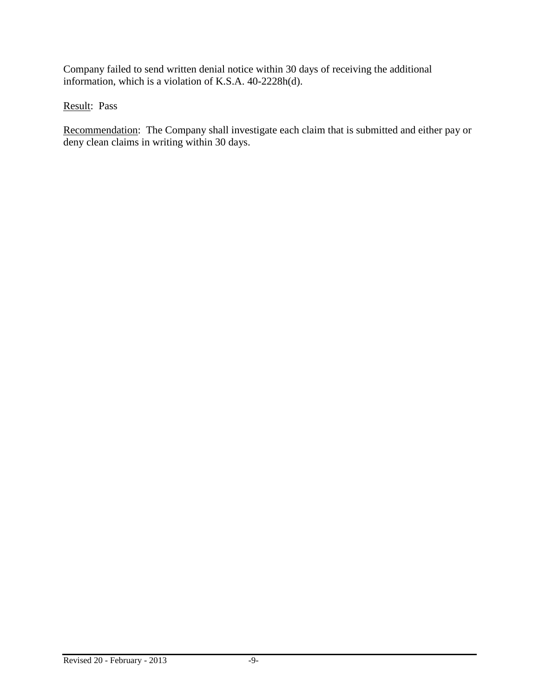Company failed to send written denial notice within 30 days of receiving the additional information, which is a violation of K.S.A. 40-2228h(d).

Result: Pass

Recommendation: The Company shall investigate each claim that is submitted and either pay or deny clean claims in writing within 30 days.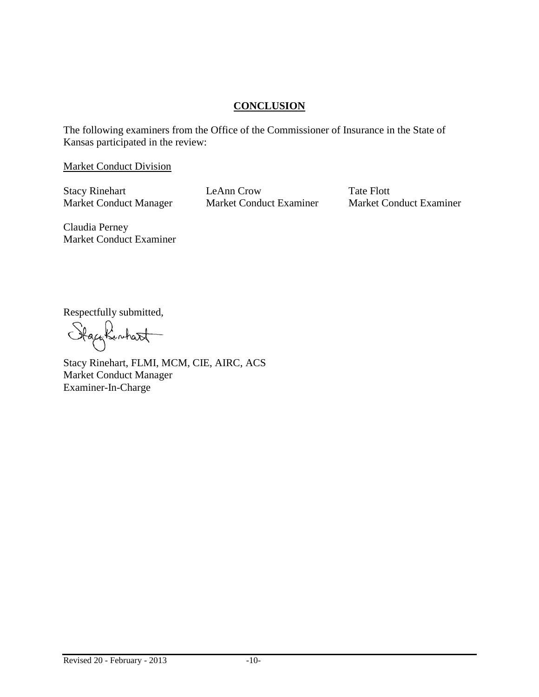## **CONCLUSION**

The following examiners from the Office of the Commissioner of Insurance in the State of Kansas participated in the review:

Market Conduct Division

Stacy Rinehart LeAnn Crow Tate Flott

Market Conduct Manager Market Conduct Examiner Market Conduct Examiner

Claudia Perney Market Conduct Examiner

Respectfully submitted,<br>Stack for the state

Stacy Rinehart, FLMI, MCM, CIE, AIRC, ACS Market Conduct Manager Examiner-In-Charge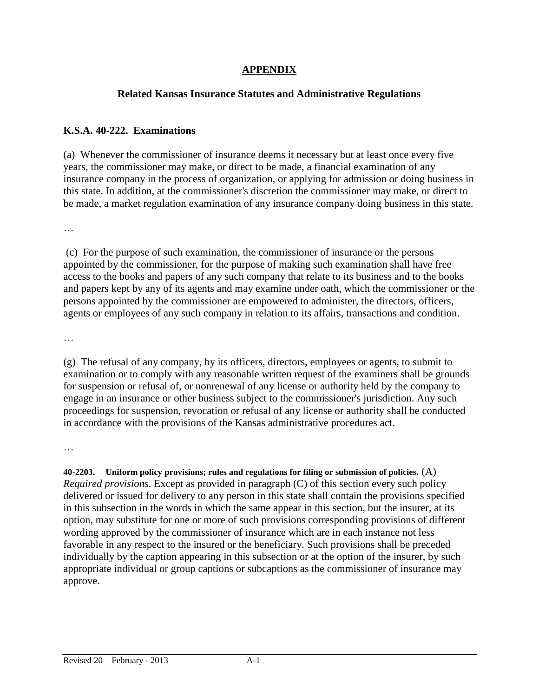## **APPENDIX**

## **Related Kansas Insurance Statutes and Administrative Regulations**

## **K.S.A. 40-222. Examinations**

(a) Whenever the commissioner of insurance deems it necessary but at least once every five years, the commissioner may make, or direct to be made, a financial examination of any insurance company in the process of organization, or applying for admission or doing business in this state. In addition, at the commissioner's discretion the commissioner may make, or direct to be made, a market regulation examination of any insurance company doing business in this state.

…

(c) For the purpose of such examination, the commissioner of insurance or the persons appointed by the commissioner, for the purpose of making such examination shall have free access to the books and papers of any such company that relate to its business and to the books and papers kept by any of its agents and may examine under oath, which the commissioner or the persons appointed by the commissioner are empowered to administer, the directors, officers, agents or employees of any such company in relation to its affairs, transactions and condition.

…

(g) The refusal of any company, by its officers, directors, employees or agents, to submit to examination or to comply with any reasonable written request of the examiners shall be grounds for suspension or refusal of, or nonrenewal of any license or authority held by the company to engage in an insurance or other business subject to the commissioner's jurisdiction. Any such proceedings for suspension, revocation or refusal of any license or authority shall be conducted in accordance with the provisions of the Kansas administrative procedures act.

…

**40-2203. Uniform policy provisions; rules and regulations for filing or submission of policies.** (A) *Required provisions.* Except as provided in paragraph (C) of this section every such policy delivered or issued for delivery to any person in this state shall contain the provisions specified in this subsection in the words in which the same appear in this section, but the insurer, at its option, may substitute for one or more of such provisions corresponding provisions of different wording approved by the commissioner of insurance which are in each instance not less favorable in any respect to the insured or the beneficiary. Such provisions shall be preceded individually by the caption appearing in this subsection or at the option of the insurer, by such appropriate individual or group captions or subcaptions as the commissioner of insurance may approve.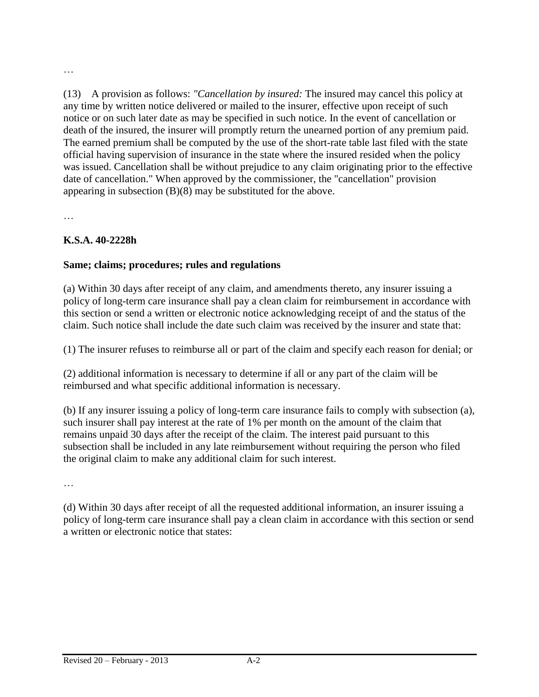(13) A provision as follows: *"Cancellation by insured:* The insured may cancel this policy at any time by written notice delivered or mailed to the insurer, effective upon receipt of such notice or on such later date as may be specified in such notice. In the event of cancellation or death of the insured, the insurer will promptly return the unearned portion of any premium paid. The earned premium shall be computed by the use of the short-rate table last filed with the state official having supervision of insurance in the state where the insured resided when the policy was issued. Cancellation shall be without prejudice to any claim originating prior to the effective date of cancellation." When approved by the commissioner, the "cancellation" provision appearing in subsection (B)(8) may be substituted for the above.

…

…

## **K.S.A. 40-2228h**

## **Same; claims; procedures; rules and regulations**

(a) Within 30 days after receipt of any claim, and amendments thereto, any insurer issuing a policy of long-term care insurance shall pay a clean claim for reimbursement in accordance with this section or send a written or electronic notice acknowledging receipt of and the status of the claim. Such notice shall include the date such claim was received by the insurer and state that:

(1) The insurer refuses to reimburse all or part of the claim and specify each reason for denial; or

(2) additional information is necessary to determine if all or any part of the claim will be reimbursed and what specific additional information is necessary.

(b) If any insurer issuing a policy of long-term care insurance fails to comply with subsection (a), such insurer shall pay interest at the rate of 1% per month on the amount of the claim that remains unpaid 30 days after the receipt of the claim. The interest paid pursuant to this subsection shall be included in any late reimbursement without requiring the person who filed the original claim to make any additional claim for such interest.

…

(d) Within 30 days after receipt of all the requested additional information, an insurer issuing a policy of long-term care insurance shall pay a clean claim in accordance with this section or send a written or electronic notice that states: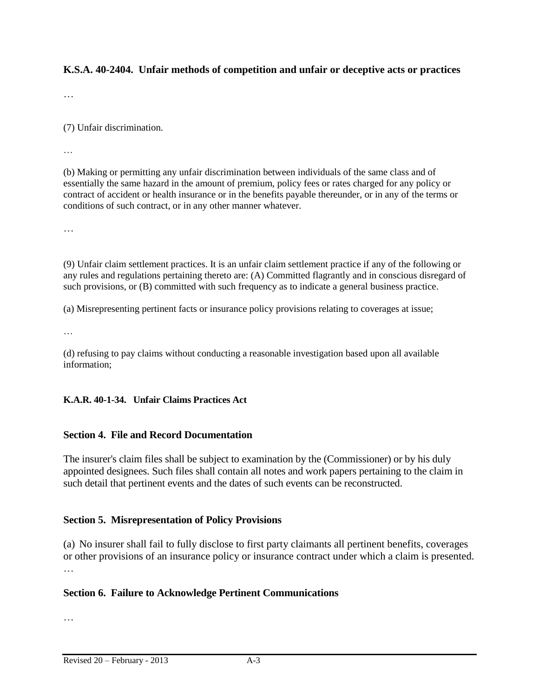#### **K.S.A. 40-2404. Unfair methods of competition and unfair or deceptive acts or practices**

…

(7) Unfair discrimination.

…

(b) Making or permitting any unfair discrimination between individuals of the same class and of essentially the same hazard in the amount of premium, policy fees or rates charged for any policy or contract of accident or health insurance or in the benefits payable thereunder, or in any of the terms or conditions of such contract, or in any other manner whatever.

…

(9) Unfair claim settlement practices. It is an unfair claim settlement practice if any of the following or any rules and regulations pertaining thereto are: (A) Committed flagrantly and in conscious disregard of such provisions, or (B) committed with such frequency as to indicate a general business practice.

(a) Misrepresenting pertinent facts or insurance policy provisions relating to coverages at issue;

…

(d) refusing to pay claims without conducting a reasonable investigation based upon all available information;

#### **K.A.R. 40-1-34. Unfair Claims Practices Act**

#### **Section 4. File and Record Documentation**

The insurer's claim files shall be subject to examination by the (Commissioner) or by his duly appointed designees. Such files shall contain all notes and work papers pertaining to the claim in such detail that pertinent events and the dates of such events can be reconstructed.

#### **Section 5. Misrepresentation of Policy Provisions**

(a) No insurer shall fail to fully disclose to first party claimants all pertinent benefits, coverages or other provisions of an insurance policy or insurance contract under which a claim is presented.

#### **Section 6. Failure to Acknowledge Pertinent Communications**

…